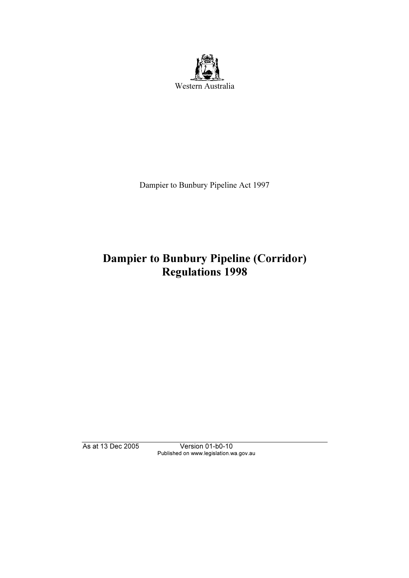

Dampier to Bunbury Pipeline Act 1997

# Dampier to Bunbury Pipeline (Corridor) Regulations 1998

As at 13 Dec 2005 Version 01-b0-10 Published on www.legislation.wa.gov.au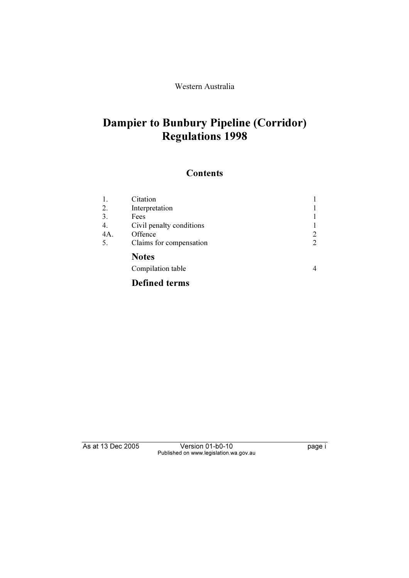Western Australia

# Dampier to Bunbury Pipeline (Corridor) Regulations 1998

## **Contents**

| 1.  | Citation                 |                |
|-----|--------------------------|----------------|
| 2.  | Interpretation           |                |
| 3.  | Fees                     |                |
| 4.  | Civil penalty conditions |                |
| 4A. | Offence                  | 2              |
| 5.  | Claims for compensation  | 2              |
|     | <b>Notes</b>             |                |
|     | Compilation table        | $\overline{4}$ |
|     | <b>Defined terms</b>     |                |

As at 13 Dec 2005 Version 01-b0-10 Page i Published on www.legislation.wa.gov.au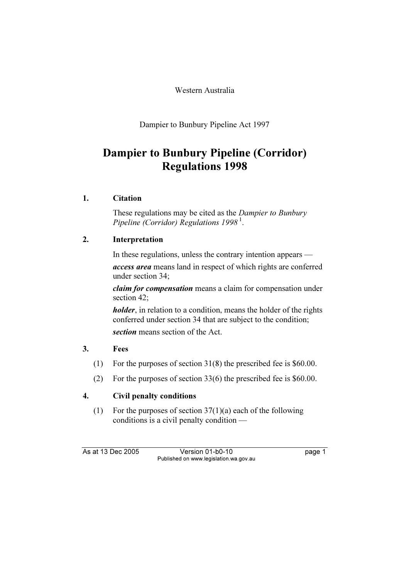Western Australia

Dampier to Bunbury Pipeline Act 1997

# Dampier to Bunbury Pipeline (Corridor) Regulations 1998

### 1. Citation

These regulations may be cited as the *Dampier to Bunbury* Pipeline (Corridor) Regulations  $1998<sup>1</sup>$ .

### 2. Interpretation

In these regulations, unless the contrary intention appears —

access area means land in respect of which rights are conferred under section 34;

claim for compensation means a claim for compensation under section 42;

*holder*, in relation to a condition, means the holder of the rights conferred under section 34 that are subject to the condition; section means section of the Act.

### 3. Fees

- (1) For the purposes of section 31(8) the prescribed fee is \$60.00.
- (2) For the purposes of section 33(6) the prescribed fee is \$60.00.

## 4. Civil penalty conditions

(1) For the purposes of section  $37(1)(a)$  each of the following conditions is a civil penalty condition —

As at 13 Dec 2005 Version 01-b0-10 page 1 Published on www.legislation.wa.gov.au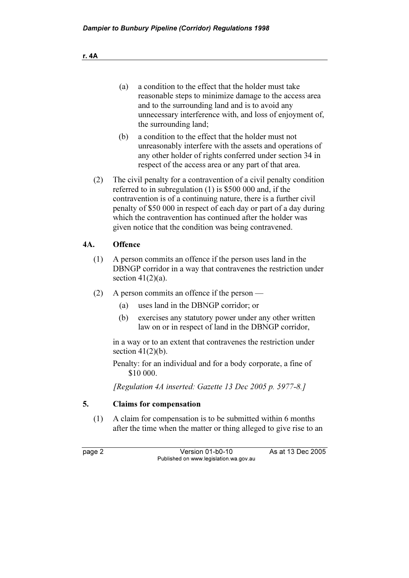| (a) | a condition to the effect that the holder must take      |  |
|-----|----------------------------------------------------------|--|
|     | reasonable steps to minimize damage to the access area   |  |
|     | and to the surrounding land and is to avoid any          |  |
|     | unnecessary interference with, and loss of enjoyment of, |  |
|     | the surrounding land;                                    |  |

- (b) a condition to the effect that the holder must not unreasonably interfere with the assets and operations of any other holder of rights conferred under section 34 in respect of the access area or any part of that area.
- (2) The civil penalty for a contravention of a civil penalty condition referred to in subregulation (1) is \$500 000 and, if the contravention is of a continuing nature, there is a further civil penalty of \$50 000 in respect of each day or part of a day during which the contravention has continued after the holder was given notice that the condition was being contravened.

#### 4A. Offence

- (1) A person commits an offence if the person uses land in the DBNGP corridor in a way that contravenes the restriction under section  $41(2)(a)$ .
- (2) A person commits an offence if the person
	- (a) uses land in the DBNGP corridor; or
	- (b) exercises any statutory power under any other written law on or in respect of land in the DBNGP corridor,

 in a way or to an extent that contravenes the restriction under section  $41(2)(b)$ .

 Penalty: for an individual and for a body corporate, a fine of \$10 000.

[Regulation 4A inserted: Gazette 13 Dec 2005 p. 5977-8.]

#### 5. Claims for compensation

 (1) A claim for compensation is to be submitted within 6 months after the time when the matter or thing alleged to give rise to an

page 2 Version 01-b0-10 As at 13 Dec 2005 Published on www.legislation.wa.gov.au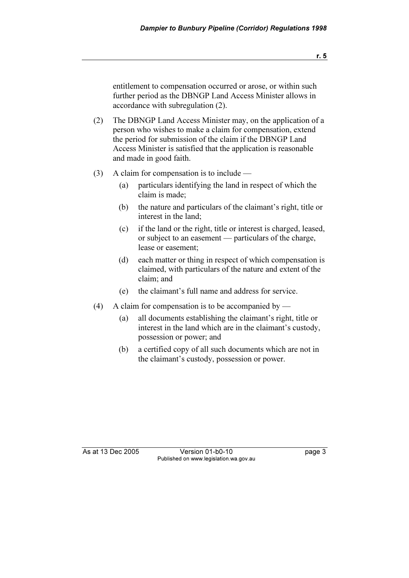entitlement to compensation occurred or arose, or within such further period as the DBNGP Land Access Minister allows in accordance with subregulation (2).

- (2) The DBNGP Land Access Minister may, on the application of a person who wishes to make a claim for compensation, extend the period for submission of the claim if the DBNGP Land Access Minister is satisfied that the application is reasonable and made in good faith.
- (3) A claim for compensation is to include
	- (a) particulars identifying the land in respect of which the claim is made;
	- (b) the nature and particulars of the claimant's right, title or interest in the land;
	- (c) if the land or the right, title or interest is charged, leased, or subject to an easement — particulars of the charge, lease or easement;
	- (d) each matter or thing in respect of which compensation is claimed, with particulars of the nature and extent of the claim; and
	- (e) the claimant's full name and address for service.
- (4) A claim for compensation is to be accompanied by
	- (a) all documents establishing the claimant's right, title or interest in the land which are in the claimant's custody, possession or power; and
	- (b) a certified copy of all such documents which are not in the claimant's custody, possession or power.

As at 13 Dec 2005 Version 01-b0-10 page 3 Published on www.legislation.wa.gov.au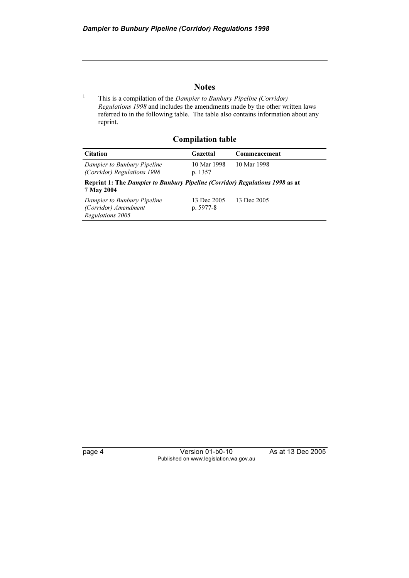#### **Notes**

 This is a compilation of the Dampier to Bunbury Pipeline (Corridor) Regulations 1998 and includes the amendments made by the other written laws referred to in the following table. The table also contains information about any reprint.

Compilation table

| <b>Citation</b>                                                                            | Gazettal                 | Commencement |  |  |
|--------------------------------------------------------------------------------------------|--------------------------|--------------|--|--|
| Dampier to Bunbury Pipeline<br>(Corridor) Regulations 1998                                 | 10 Mar 1998<br>p. 1357   | 10 Mar 1998  |  |  |
| Reprint 1: The Dampier to Bunbury Pipeline (Corridor) Regulations 1998 as at<br>7 May 2004 |                          |              |  |  |
| Dampier to Bunbury Pipeline<br>(Corridor) Amendment<br>Regulations 2005                    | 13 Dec 2005<br>p. 5977-8 | 13 Dec 2005  |  |  |

1

page 4 Version 01-b0-10 As at 13 Dec 2005 Published on www.legislation.wa.gov.au